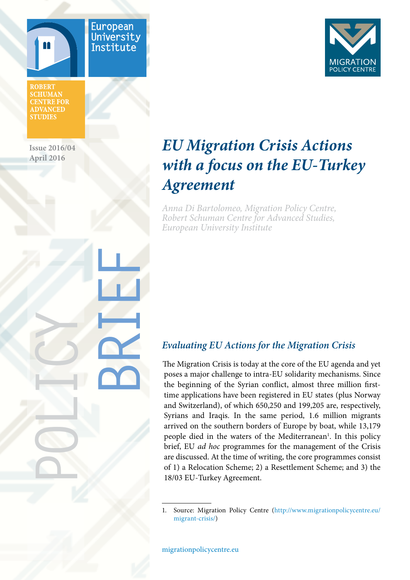

European University Institute

**ROBERT SCHUMAN CENTRE FOR ADVANCED STUDIES** 

**Issue 2016/04 April 2016**

POLICY

**BRAILE** 



# *EU Migration Crisis Actions with a focus on the EU-Turkey Agreement*

*Anna Di Bartolomeo, Migration Policy Centre, Robert Schuman Centre for Advanced Studies, European University Institute* 

# *Evaluating EU Actions for the Migration Crisis*

The Migration Crisis is today at the core of the EU agenda and yet poses a major challenge to intra-EU solidarity mechanisms. Since the beginning of the Syrian conflict, almost three million firsttime applications have been registered in EU states (plus Norway and Switzerland), of which 650,250 and 199,205 are, respectively, Syrians and Iraqis. In the same period, 1.6 million migrants arrived on the southern borders of Europe by boat, while 13,179 people died in the waters of the Mediterranean<sup>1</sup>. In this policy brief, EU *ad hoc* programmes for the management of the Crisis are discussed. At the time of writing, the core programmes consist of 1) a Relocation Scheme; 2) a Resettlement Scheme; and 3) the 18/03 EU-Turkey Agreement.

1. Source: Migration Policy Centre ([http://www.migrationpolicycentre.eu/](http://www.migrationpolicycentre.eu/migrant-crisis/) [migrant-crisis/\)](http://www.migrationpolicycentre.eu/migrant-crisis/)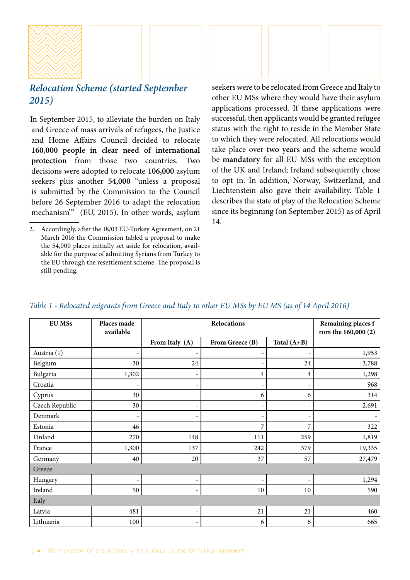

## *Relocation Scheme (started September 2015)*

In September 2015, to alleviate the burden on Italy and Greece of mass arrivals of refugees, the Justice and Home Affairs Council decided to relocate **160,000 people in clear need of international protection** from those two countries. Two decisions were adopted to relocate **106,000** asylum seekers plus another **54,000** "unless a proposal is submitted by the Commission to the Council before 26 September 2016 to adapt the relocation mechanism"2 (EU, 2015). In other words, asylum seekers were to be relocated from Greece and Italy to other EU MSs where they would have their asylum applications processed. If these applications were successful, then applicants would be granted refugee status with the right to reside in the Member State to which they were relocated. All relocations would take place over **two years** and the scheme would be **mandatory** for all EU MSs with the exception of the UK and Ireland; Ireland subsequently chose to opt in. In addition, Norway, Switzerland, and Liechtenstein also gave their availability. Table 1 describes the state of play of the Relocation Scheme since its beginning (on September 2015) as of April 14.

| <b>EU MSs</b>  | Places made<br>available | Relocations    |                 |               | Remaining places f<br>rom the 160,000 (2) |
|----------------|--------------------------|----------------|-----------------|---------------|-------------------------------------------|
|                |                          | From Italy (A) | From Greece (B) | Total $(A+B)$ |                                           |
| Austria (1)    |                          |                |                 |               | 1,953                                     |
| Belgium        | 30                       | 24             |                 | 24            | 3,788                                     |
| Bulgaria       | 1,302                    | ۰              | 4               | 4             | 1,298                                     |
| Croatia        |                          |                |                 |               | 968                                       |
| Cyprus         | 30                       |                | 6               | 6             | 314                                       |
| Czech Republic | 30                       | ۰              |                 |               | 2,691                                     |
| Denmark        |                          |                |                 |               |                                           |
| Estonia        | 46                       |                | 7               | 7             | 322                                       |
| Finland        | 270                      | 148            | 111             | 259           | 1,819                                     |
| France         | 1,300                    | 137            | 242             | 379           | 19,335                                    |
| Germany        | 40                       | 20             | 37              | 57            | 27,479                                    |
| Greece         |                          |                |                 |               |                                           |
| Hungary        |                          | ٠              |                 |               | 1,294                                     |
| Ireland        | 50                       | $\overline{a}$ | 10              | 10            | 590                                       |
| Italy          |                          |                |                 |               |                                           |
| Latvia         | 481                      | ۰              | 21              | 21            | 460                                       |
| Lithuania      | 100                      | ۰              | 6               | 6             | 665                                       |

#### *Table 1 - Relocated migrants from Greece and Italy to other EU MSs by EU MS (as of 14 April 2016)*

<sup>2.</sup> Accordingly, after the 18/03 EU-Turkey Agreement, on 21 March 2016 the Commission tabled a proposal to make the 54,000 places initially set aside for relocation, available for the purpose of admitting Syrians from Turkey to the EU through the resettlement scheme. The proposal is still pending.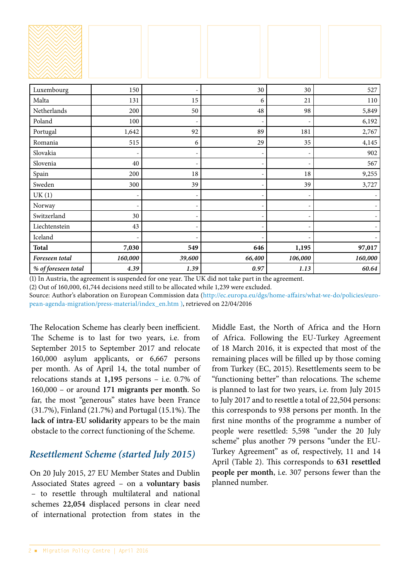| Luxembourg          | 150                      |        | 30                       | 30                       | 527     |
|---------------------|--------------------------|--------|--------------------------|--------------------------|---------|
| Malta               | 131                      | 15     | 6                        | 21                       | 110     |
| Netherlands         | 200                      | 50     | 48                       | 98                       | 5,849   |
| Poland              | 100                      |        |                          |                          | 6,192   |
| Portugal            | 1,642                    | 92     | 89                       | 181                      | 2,767   |
| Romania             | 515                      | 6      | 29                       | 35                       | 4,145   |
| Slovakia            | ÷                        | ٠      | ÷,                       | $\overline{\phantom{a}}$ | 902     |
| Slovenia            | 40                       |        |                          |                          | 567     |
| Spain               | 200                      | 18     |                          | 18                       | 9,255   |
| Sweden              | 300                      | 39     |                          | 39                       | 3,727   |
| UK(1)               |                          |        |                          |                          |         |
| Norway              | $\overline{\phantom{a}}$ | ٠      | $\overline{\phantom{a}}$ | $\overline{\phantom{a}}$ |         |
| Switzerland         | 30                       |        |                          |                          |         |
| Liechtenstein       | 43                       |        |                          |                          |         |
| Iceland             |                          |        |                          |                          |         |
| <b>Total</b>        | 7,030                    | 549    | 646                      | 1,195                    | 97,017  |
| Foreseen total      | 160,000                  | 39,600 | 66,400                   | 106,000                  | 160,000 |
| % of foreseen total | 4.39                     | 1.39   | $0.97\,$                 | 1.13                     | 60.64   |

(1) In Austria, the agreement is suspended for one year. The UK did not take part in the agreement.

(2) Out of 160,000, 61,744 decisions need still to be allocated while 1,239 were excluded.

Source: Author's elaboration on European Commission data ([http://ec.europa.eu/dgs/home-affairs/what-we-do/policies/euro](http://ec.europa.eu/dgs/home-affairs/what-we-do/policies/european-agenda-migration/press-material/index_en.htm)[pean-agenda-migration/press-material/index\\_en.htm](http://ec.europa.eu/dgs/home-affairs/what-we-do/policies/european-agenda-migration/press-material/index_en.htm) ), retrieved on 22/04/2016

The Relocation Scheme has clearly been inefficient. The Scheme is to last for two years, i.e. from September 2015 to September 2017 and relocate 160,000 asylum applicants, or 6,667 persons per month. As of April 14, the total number of relocations stands at **1,195** persons – i.e. 0.7% of 160,000 – or around **171 migrants per month**. So far, the most "generous" states have been France (31.7%), Finland (21.7%) and Portugal (15.1%). The **lack of intra-EU solidarity** appears to be the main obstacle to the correct functioning of the Scheme.

## *Resettlement Scheme (started July 2015)*

On 20 July 2015, 27 EU Member States and Dublin Associated States agreed – on a **voluntary basis** – to resettle through multilateral and national schemes **22,054** displaced persons in clear need of international protection from states in the

Middle East, the North of Africa and the Horn of Africa. Following the EU-Turkey Agreement of 18 March 2016, it is expected that most of the remaining places will be filled up by those coming from Turkey (EC, 2015). Resettlements seem to be "functioning better" than relocations. The scheme is planned to last for two years, i.e. from July 2015 to July 2017 and to resettle a total of 22,504 persons: this corresponds to 938 persons per month. In the first nine months of the programme a number of people were resettled: 5,598 "under the 20 July scheme" plus another 79 persons "under the EU-Turkey Agreement" as of, respectively, 11 and 14 April (Table 2). This corresponds to **631 resettled people per month**, i.e. 307 persons fewer than the planned number.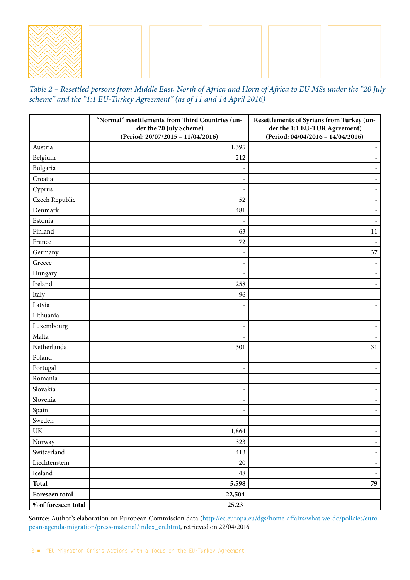*Table 2 – Resettled persons from Middle East, North of Africa and Horn of Africa to EU MSs under the "20 July scheme" and the "1:1 EU-Turkey Agreement" (as of 11 and 14 April 2016)*

|                     | "Normal" resettlements from Third Countries (un-<br>der the 20 July Scheme) | Resettlements of Syrians from Turkey (un-<br>der the 1:1 EU-TUR Agreement) |  |  |  |
|---------------------|-----------------------------------------------------------------------------|----------------------------------------------------------------------------|--|--|--|
|                     | (Period: 20/07/2015 - 11/04/2016)                                           | (Period: 04/04/2016 - 14/04/2016)                                          |  |  |  |
| Austria             | 1,395                                                                       |                                                                            |  |  |  |
| Belgium             | 212                                                                         |                                                                            |  |  |  |
| Bulgaria            |                                                                             |                                                                            |  |  |  |
| Croatia             |                                                                             |                                                                            |  |  |  |
| Cyprus              |                                                                             |                                                                            |  |  |  |
| Czech Republic      | 52                                                                          |                                                                            |  |  |  |
| Denmark             | 481                                                                         |                                                                            |  |  |  |
| Estonia             |                                                                             |                                                                            |  |  |  |
| Finland             | 63                                                                          | 11                                                                         |  |  |  |
| France              | 72                                                                          |                                                                            |  |  |  |
| Germany             |                                                                             | 37                                                                         |  |  |  |
| Greece              |                                                                             |                                                                            |  |  |  |
| Hungary             |                                                                             |                                                                            |  |  |  |
| Ireland             | 258                                                                         |                                                                            |  |  |  |
| Italy               | 96                                                                          |                                                                            |  |  |  |
| Latvia              |                                                                             |                                                                            |  |  |  |
| Lithuania           |                                                                             |                                                                            |  |  |  |
| Luxembourg          |                                                                             |                                                                            |  |  |  |
| Malta               |                                                                             |                                                                            |  |  |  |
| Netherlands         | 301                                                                         | 31                                                                         |  |  |  |
| Poland              |                                                                             |                                                                            |  |  |  |
| Portugal            |                                                                             |                                                                            |  |  |  |
| Romania             |                                                                             |                                                                            |  |  |  |
| Slovakia            |                                                                             |                                                                            |  |  |  |
| Slovenia            |                                                                             |                                                                            |  |  |  |
| Spain               |                                                                             |                                                                            |  |  |  |
| Sweden              |                                                                             |                                                                            |  |  |  |
| UK                  | 1,864                                                                       |                                                                            |  |  |  |
| Norway              | 323                                                                         | $\overline{\phantom{a}}$                                                   |  |  |  |
| Switzerland         | 413                                                                         |                                                                            |  |  |  |
| Liechtenstein       | $20\,$                                                                      | Ξ.                                                                         |  |  |  |
| Iceland             | $\bf 48$                                                                    |                                                                            |  |  |  |
| <b>Total</b>        | 5,598                                                                       | 79                                                                         |  |  |  |
| Foreseen total      | 22,504                                                                      |                                                                            |  |  |  |
| % of foreseen total | 25.23                                                                       |                                                                            |  |  |  |

Source: Author's elaboration on European Commission data [\(http://ec.europa.eu/dgs/home-affairs/what-we-do/policies/euro](http://ec.europa.eu/dgs/home-affairs/what-we-do/policies/european-agenda-migration/press-material/index_en.htm)[pean-agenda-migration/press-material/index\\_en.htm\)](http://ec.europa.eu/dgs/home-affairs/what-we-do/policies/european-agenda-migration/press-material/index_en.htm), retrieved on 22/04/2016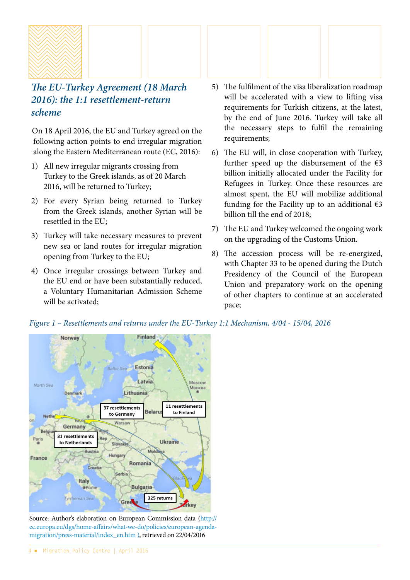

# *The EU-Turkey Agreement (18 March 2016): the 1:1 resettlement-return scheme*

On 18 April 2016, the EU and Turkey agreed on the following action points to end irregular migration along the Eastern Mediterranean route (EC, 2016):

- 1) All new irregular migrants crossing from Turkey to the Greek islands, as of 20 March 2016, will be returned to Turkey;
- 2) For every Syrian being returned to Turkey from the Greek islands, another Syrian will be resettled in the EU;
- 3) Turkey will take necessary measures to prevent new sea or land routes for irregular migration opening from Turkey to the EU;
- 4) Once irregular crossings between Turkey and the EU end or have been substantially reduced, a Voluntary Humanitarian Admission Scheme will be activated;
- 5) The fulfilment of the visa liberalization roadmap will be accelerated with a view to lifting visa requirements for Turkish citizens, at the latest, by the end of June 2016. Turkey will take all the necessary steps to fulfil the remaining requirements;
- 6) The EU will, in close cooperation with Turkey, further speed up the disbursement of the  $\epsilon$ 3 billion initially allocated under the Facility for Refugees in Turkey. Once these resources are almost spent, the EU will mobilize additional funding for the Facility up to an additional  $\epsilon$ 3 billion till the end of 2018;
- 7) The EU and Turkey welcomed the ongoing work on the upgrading of the Customs Union.
- 8) The accession process will be re-energized, with Chapter 33 to be opened during the Dutch Presidency of the Council of the European Union and preparatory work on the opening of other chapters to continue at an accelerated pace;



*Figure 1 – Resettlements and returns under the EU-Turkey 1:1 Mechanism, 4/04 - 15/04, 2016*

Source: Author's elaboration on European Commission data [\(http://](http://ec.europa.eu/dgs/home-affairs/what-we-do/policies/european-agenda-migration/press-material/index_en.htm) [ec.europa.eu/dgs/home-affairs/what-we-do/policies/european-agenda](http://ec.europa.eu/dgs/home-affairs/what-we-do/policies/european-agenda-migration/press-material/index_en.htm)[migration/press-material/index\\_en.htm](http://ec.europa.eu/dgs/home-affairs/what-we-do/policies/european-agenda-migration/press-material/index_en.htm) ), retrieved on 22/04/2016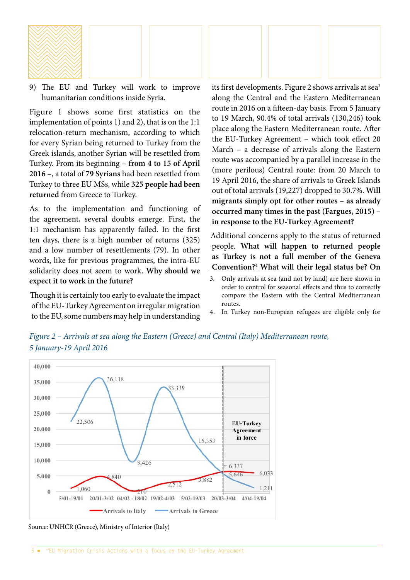

9) The EU and Turkey will work to improve humanitarian conditions inside Syria.

Figure 1 shows some first statistics on the implementation of points 1) and 2), that is on the 1:1 relocation-return mechanism, according to which for every Syrian being returned to Turkey from the Greek islands, another Syrian will be resettled from Turkey. From its beginning – **from 4 to 15 of April 2016** –, a total of **79 Syrians** had been resettled from Turkey to three EU MSs, while **325 people had been returned** from Greece to Turkey.

As to the implementation and functioning of the agreement, several doubts emerge. First, the 1:1 mechanism has apparently failed. In the first ten days, there is a high number of returns (325) and a low number of resettlements (79). In other words, like for previous programmes, the intra-EU solidarity does not seem to work**. Why should we expect it to work in the future?** 

Though it is certainly too early to evaluate the impact of the EU-Turkey Agreement on irregular migration to the EU, some numbers may help in understanding its first developments. Figure 2 shows arrivals at sea<sup>3</sup> along the Central and the Eastern Mediterranean route in 2016 on a fifteen-day basis. From 5 January to 19 March, 90.4% of total arrivals (130,246) took place along the Eastern Mediterranean route. After the EU-Turkey Agreement – which took effect 20 March – a decrease of arrivals along the Eastern route was accompanied by a parallel increase in the (more perilous) Central route: from 20 March to 19 April 2016, the share of arrivals to Greek Islands out of total arrivals (19,227) dropped to 30.7%. **Will migrants simply opt for other routes – as already occurred many times in the past (Fargues, 2015) – in response to the EU-Turkey Agreement?**

Additional concerns apply to the status of returned people. **What will happen to returned people as Turkey is not a full member of the Geneva Convention?**<sup>4</sup>  **What will their legal status be? On** 

- 3. Only arrivals at sea (and not by land) are here shown in order to control for seasonal effects and thus to correctly compare the Eastern with the Central Mediterranean routes.
- 4. In Turkey non-European refugees are eligible only for





Source: UNHCR (Greece), Ministry of Interior (Italy)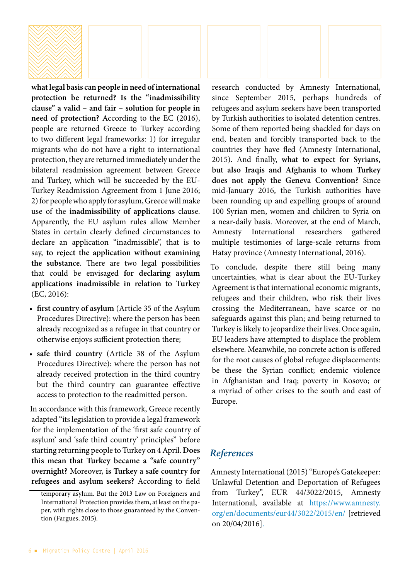

**what legal basis can people in need of international protection be returned? Is the "inadmissibility clause" a valid – and fair – solution for people in need of protection?** According to the EC (2016), people are returned Greece to Turkey according to two different legal frameworks: 1) for irregular migrants who do not have a right to international protection, they are returned immediately under the bilateral readmission agreement between Greece and Turkey, which will be succeeded by the EU-Turkey Readmission Agreement from 1 June 2016; 2) for people who apply for asylum, Greece will make use of the **inadmissibility of applications** clause. Apparently, the EU asylum rules allow Member States in certain clearly defined circumstances to declare an application "inadmissible", that is to say, **to reject the application without examining the substance**. There are two legal possibilities that could be envisaged **for declaring asylum applications inadmissible in relation to Turkey**  (EC, 2016):

- **first country of asylum** (Article 35 of the Asylum Procedures Directive): where the person has been already recognized as a refugee in that country or otherwise enjoys sufficient protection there;
- **safe third country** (Article 38 of the Asylum Procedures Directive): where the person has not already received protection in the third country but the third country can guarantee effective access to protection to the readmitted person.

In accordance with this framework, Greece recently adapted "its legislation to provide a legal framework for the implementation of the 'first safe country of asylum' and 'safe third country' principles" before starting returning people to Turkey on 4 April. **Does this mean that Turkey became a "safe country" overnight?** Moreover, **is Turkey a safe country for refugees and asylum seekers?** According to field research conducted by Amnesty International, since September 2015, perhaps hundreds of refugees and asylum seekers have been transported by Turkish authorities to isolated detention centres. Some of them reported being shackled for days on end, beaten and forcibly transported back to the countries they have fled (Amnesty International, 2015). And finally, **what to expect for Syrians, but also Iraqis and Afghanis to whom Turkey does not apply the Geneva Convention?** Since mid-January 2016, the Turkish authorities have been rounding up and expelling groups of around 100 Syrian men, women and children to Syria on a near-daily basis. Moreover, at the end of March, Amnesty International researchers gathered multiple testimonies of large-scale returns from Hatay province (Amnesty International, 2016).

To conclude, despite there still being many uncertainties, what is clear about the EU-Turkey Agreement is that international economic migrants, refugees and their children, who risk their lives crossing the Mediterranean, have scarce or no safeguards against this plan; and being returned to Turkey is likely to jeopardize their lives. Once again, EU leaders have attempted to displace the problem elsewhere. Meanwhile, no concrete action is offered for the root causes of global refugee displacements: be these the Syrian conflict; endemic violence in Afghanistan and Iraq; poverty in Kosovo; or a myriad of other crises to the south and east of Europe.

### *References*

Amnesty International (2015) "Europe's Gatekeeper: Unlawful Detention and Deportation of Refugees from Turkey", EUR 44/3022/2015, Amnesty International, available at [https://www.amnesty.](https://www.amnesty.org/en/documents/eur44/3022/2015/en/) [org/en/documents/eur44/3022/2015/en/ \[retrieved](https://www.amnesty.org/en/documents/eur44/3022/2015/en/)  [on 20/04/2016\].](https://www.amnesty.org/en/documents/eur44/3022/2015/en/)

temporary asylum. But the 2013 Law on Foreigners and International Protection provides them, at least on the paper, with rights close to those guaranteed by the Convention (Fargues, 2015).